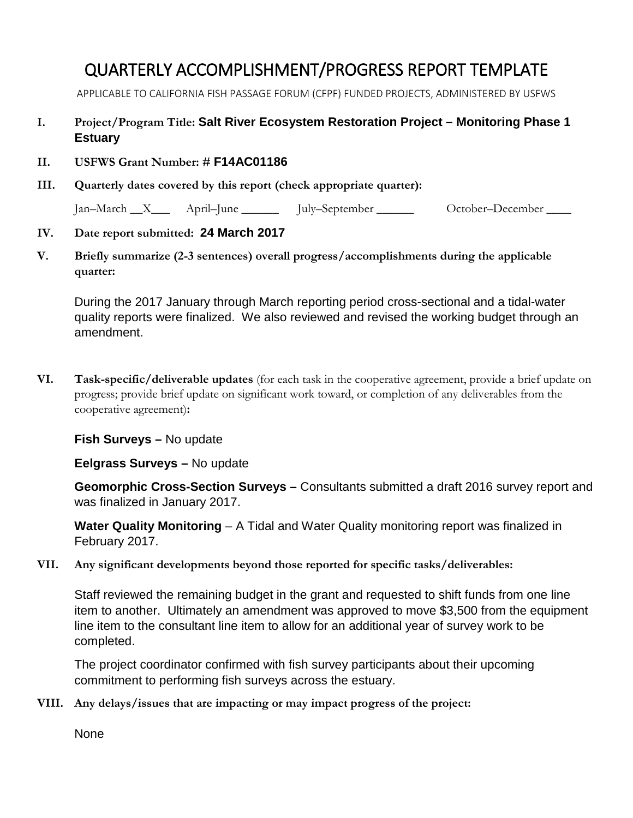## QUARTERLY ACCOMPLISHMENT/PROGRESS REPORT TEMPLATE

APPLICABLE TO CALIFORNIA FISH PASSAGE FORUM (CFPF) FUNDED PROJECTS, ADMINISTERED BY USFWS

## **I. Project/Program Title: Salt River Ecosystem Restoration Project – Monitoring Phase 1 Estuary**

- **II. USFWS Grant Number: # F14AC01186**
- **III. Quarterly dates covered by this report (check appropriate quarter):**

Jan–March X\_\_\_ April–June July–September Cotober–December \_\_\_\_

## **IV. Date report submitted: 24 March 2017**

**V. Briefly summarize (2-3 sentences) overall progress/accomplishments during the applicable quarter:** 

During the 2017 January through March reporting period cross-sectional and a tidal-water quality reports were finalized. We also reviewed and revised the working budget through an amendment.

**VI. Task-specific/deliverable updates** (for each task in the cooperative agreement, provide a brief update on progress; provide brief update on significant work toward, or completion of any deliverables from the cooperative agreement)**:**

## **Fish Surveys –** No update

**Eelgrass Surveys –** No update

**Geomorphic Cross-Section Surveys –** Consultants submitted a draft 2016 survey report and was finalized in January 2017.

**Water Quality Monitoring** – A Tidal and Water Quality monitoring report was finalized in February 2017.

**VII. Any significant developments beyond those reported for specific tasks/deliverables:**

Staff reviewed the remaining budget in the grant and requested to shift funds from one line item to another. Ultimately an amendment was approved to move \$3,500 from the equipment line item to the consultant line item to allow for an additional year of survey work to be completed.

The project coordinator confirmed with fish survey participants about their upcoming commitment to performing fish surveys across the estuary.

**VIII. Any delays/issues that are impacting or may impact progress of the project:**

None